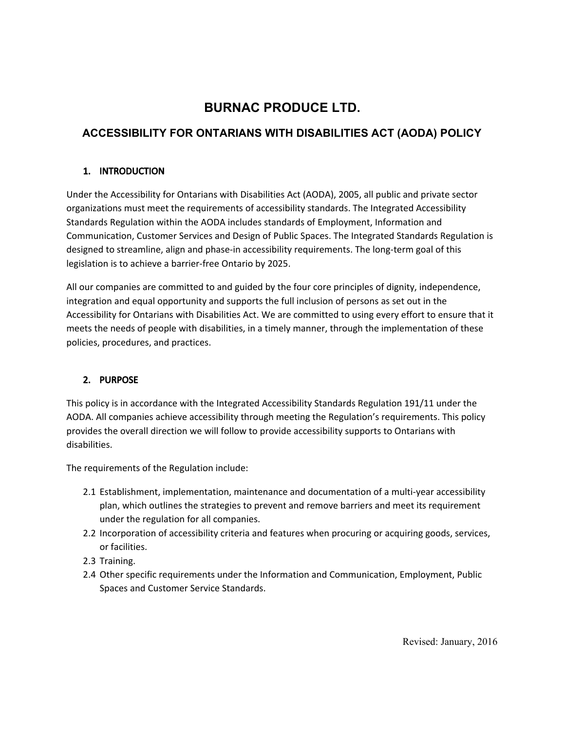# **BURNAC PRODUCE LTD.**

# **ACCESSIBILITY FOR ONTARIANS WITH DISABILITIES ACT (AODA) POLICY**

# 1. INTRODUCTION

Under the Accessibility for Ontarians with Disabilities Act (AODA), 2005, all public and private sector organizations must meet the requirements of accessibility standards. The Integrated Accessibility Standards Regulation within the AODA includes standards of Employment, Information and Communication, Customer Services and Design of Public Spaces. The Integrated Standards Regulation is designed to streamline, align and phase-in accessibility requirements. The long-term goal of this legislation is to achieve a barrier-free Ontario by 2025.

All our companies are committed to and guided by the four core principles of dignity, independence, integration and equal opportunity and supports the full inclusion of persons as set out in the Accessibility for Ontarians with Disabilities Act. We are committed to using every effort to ensure that it meets the needs of people with disabilities, in a timely manner, through the implementation of these policies, procedures, and practices.

# 2. PURPOSE

This policy is in accordance with the Integrated Accessibility Standards Regulation 191/11 under the AODA. All companies achieve accessibility through meeting the Regulation's requirements. This policy provides the overall direction we will follow to provide accessibility supports to Ontarians with disabilities.

The requirements of the Regulation include:

- 2.1 Establishment, implementation, maintenance and documentation of a multi-year accessibility plan, which outlines the strategies to prevent and remove barriers and meet its requirement under the regulation for all companies.
- 2.2 Incorporation of accessibility criteria and features when procuring or acquiring goods, services, or facilities.
- 2.3 Training.
- 2.4 Other specific requirements under the Information and Communication, Employment, Public Spaces and Customer Service Standards.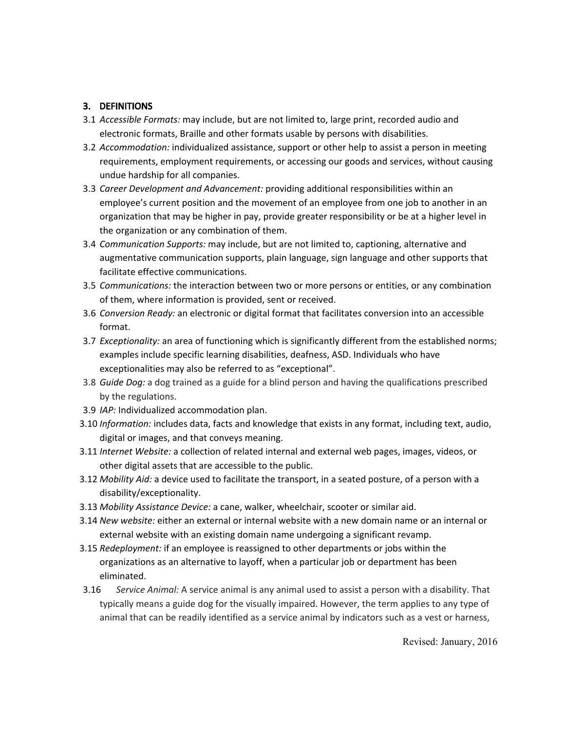# 3. DEFINITIONS

- 3.1 *Accessible Formats:* may include, but are not limited to, large print, recorded audio and electronic formats, Braille and other formats usable by persons with disabilities.
- 3.2 *Accommodation:* individualized assistance, support or other help to assist a person in meeting requirements, employment requirements, or accessing our goods and services, without causing undue hardship for all companies.
- 3.3 *Career Development and Advancement:* providing additional responsibilities within an employee's current position and the movement of an employee from one job to another in an organization that may be higher in pay, provide greater responsibility or be at a higher level in the organization or any combination of them.
- 3.4 *Communication Supports:* may include, but are not limited to, captioning, alternative and augmentative communication supports, plain language, sign language and other supports that facilitate effective communications.
- 3.5 *Communications:* the interaction between two or more persons or entities, or any combination of them, where information is provided, sent or received.
- 3.6 *Conversion Ready:* an electronic or digital format that facilitates conversion into an accessible format.
- 3.7 *Exceptionality:* an area of functioning which is significantly different from the established norms; examples include specific learning disabilities, deafness, ASD. Individuals who have exceptionalities may also be referred to as "exceptional".
- 3.8 *Guide Dog:* a dog trained as a guide for a blind person and having the qualifications prescribed by the regulations.
- 3.9 *IAP:* Individualized accommodation plan.
- 3.10 *Information:* includes data, facts and knowledge that exists in any format, including text, audio, digital or images, and that conveys meaning.
- 3.11 *Internet Website:* a collection of related internal and external web pages, images, videos, or other digital assets that are accessible to the public.
- 3.12 *Mobility Aid:* a device used to facilitate the transport, in a seated posture, of a person with a disability/exceptionality.
- 3.13 *Mobility Assistance Device:* a cane, walker, wheelchair, scooter or similar aid.
- 3.14 *New website:* either an external or internal website with a new domain name or an internal or external website with an existing domain name undergoing a significant revamp.
- 3.15 *Redeployment:* if an employee is reassigned to other departments or jobs within the organizations as an alternative to layoff, when a particular job or department has been eliminated.
- 3.16 *Service Animal:* A service animal is any animal used to assist a person with a disability. That typically means a guide dog for the visually impaired. However, the term applies to any type of animal that can be readily identified as a service animal by indicators such as a vest or harness,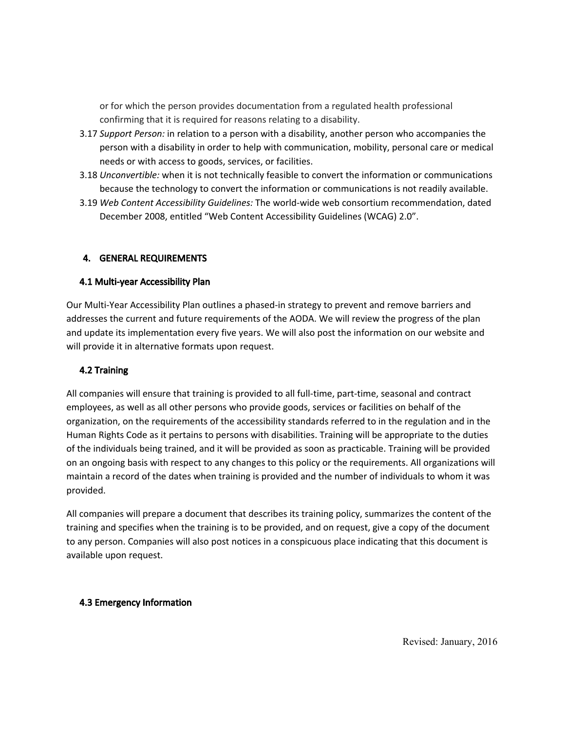or for which the person provides documentation from a regulated health professional confirming that it is required for reasons relating to a disability.

- 3.17 *Support Person:* in relation to a person with a disability, another person who accompanies the person with a disability in order to help with communication, mobility, personal care or medical needs or with access to goods, services, or facilities.
- 3.18 *Unconvertible:* when it is not technically feasible to convert the information or communications because the technology to convert the information or communications is not readily available.
- 3.19 *Web Content Accessibility Guidelines:* The world-wide web consortium recommendation, dated December 2008, entitled "Web Content Accessibility Guidelines (WCAG) 2.0".

# 4. GENERAL REQUIREMENTS

#### 4.1 Multi-year Accessibility Plan

Our Multi-Year Accessibility Plan outlines a phased-in strategy to prevent and remove barriers and addresses the current and future requirements of the AODA. We will review the progress of the plan and update its implementation every five years. We will also post the information on our website and will provide it in alternative formats upon request.

# 4.2 Training

All companies will ensure that training is provided to all full-time, part-time, seasonal and contract employees, as well as all other persons who provide goods, services or facilities on behalf of the organization, on the requirements of the accessibility standards referred to in the regulation and in the Human Rights Code as it pertains to persons with disabilities. Training will be appropriate to the duties of the individuals being trained, and it will be provided as soon as practicable. Training will be provided on an ongoing basis with respect to any changes to this policy or the requirements. All organizations will maintain a record of the dates when training is provided and the number of individuals to whom it was provided.

All companies will prepare a document that describes its training policy, summarizes the content of the training and specifies when the training is to be provided, and on request, give a copy of the document to any person. Companies will also post notices in a conspicuous place indicating that this document is available upon request.

#### 4.3 Emergency Information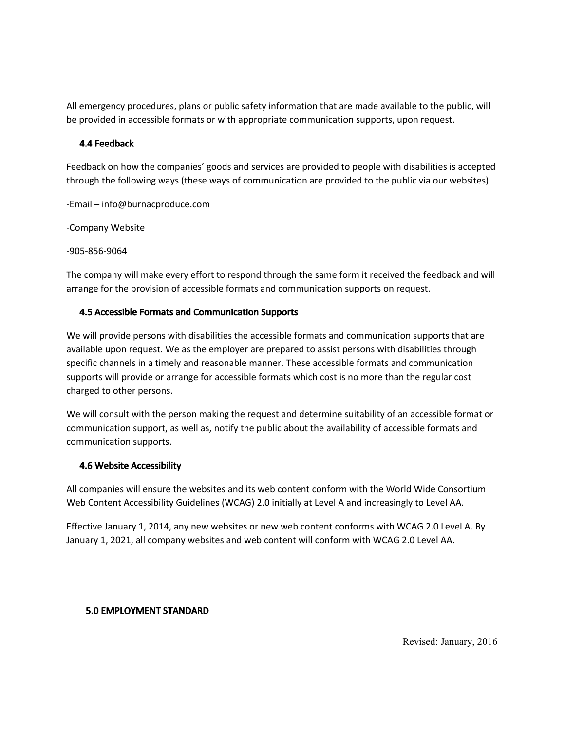All emergency procedures, plans or public safety information that are made available to the public, will be provided in accessible formats or with appropriate communication supports, upon request.

## 4.4 Feedback

Feedback on how the companies' goods and services are provided to people with disabilities is accepted through the following ways (these ways of communication are provided to the public via our websites).

-Email – info@burnacproduce.com

-Company Website

-905-856-9064

The company will make every effort to respond through the same form it received the feedback and will arrange for the provision of accessible formats and communication supports on request.

# 4.5 Accessible Formats and Communication Supports

We will provide persons with disabilities the accessible formats and communication supports that are available upon request. We as the employer are prepared to assist persons with disabilities through specific channels in a timely and reasonable manner. These accessible formats and communication supports will provide or arrange for accessible formats which cost is no more than the regular cost charged to other persons.

We will consult with the person making the request and determine suitability of an accessible format or communication support, as well as, notify the public about the availability of accessible formats and communication supports.

# 4.6 Website Accessibility

All companies will ensure the websites and its web content conform with the World Wide Consortium Web Content Accessibility Guidelines (WCAG) 2.0 initially at Level A and increasingly to Level AA.

Effective January 1, 2014, any new websites or new web content conforms with WCAG 2.0 Level A. By January 1, 2021, all company websites and web content will conform with WCAG 2.0 Level AA.

# 5.0 EMPLOYMENT STANDARD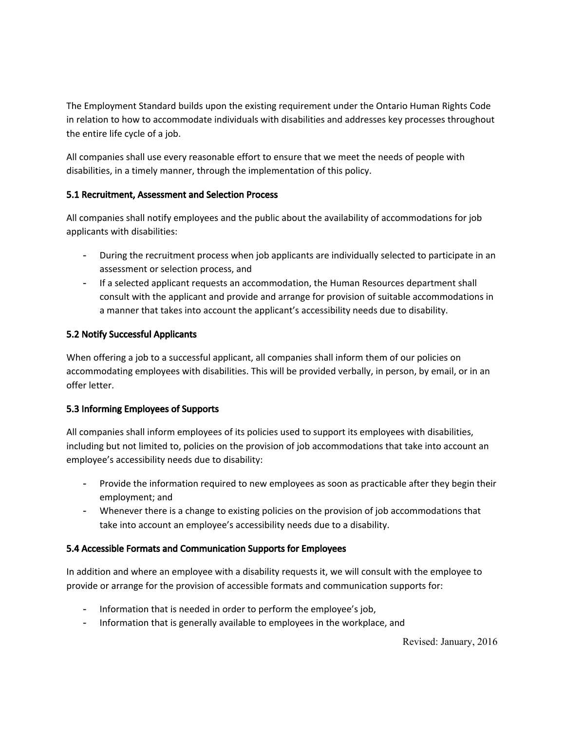The Employment Standard builds upon the existing requirement under the Ontario Human Rights Code in relation to how to accommodate individuals with disabilities and addresses key processes throughout the entire life cycle of a job.

All companies shall use every reasonable effort to ensure that we meet the needs of people with disabilities, in a timely manner, through the implementation of this policy.

# 5.1 Recruitment, Assessment and Selection Process

All companies shall notify employees and the public about the availability of accommodations for job applicants with disabilities:

- During the recruitment process when job applicants are individually selected to participate in an assessment or selection process, and
- If a selected applicant requests an accommodation, the Human Resources department shall consult with the applicant and provide and arrange for provision of suitable accommodations in a manner that takes into account the applicant's accessibility needs due to disability.

# 5.2 Notify Successful Applicants

When offering a job to a successful applicant, all companies shall inform them of our policies on accommodating employees with disabilities. This will be provided verbally, in person, by email, or in an offer letter.

# 5.3 Informing Employees of Supports

All companies shall inform employees of its policies used to support its employees with disabilities, including but not limited to, policies on the provision of job accommodations that take into account an employee's accessibility needs due to disability:

- Provide the information required to new employees as soon as practicable after they begin their employment; and
- Whenever there is a change to existing policies on the provision of job accommodations that take into account an employee's accessibility needs due to a disability.

# 5.4 Accessible Formats and Communication Supports for Employees

In addition and where an employee with a disability requests it, we will consult with the employee to provide or arrange for the provision of accessible formats and communication supports for:

- Information that is needed in order to perform the employee's job,
- Information that is generally available to employees in the workplace, and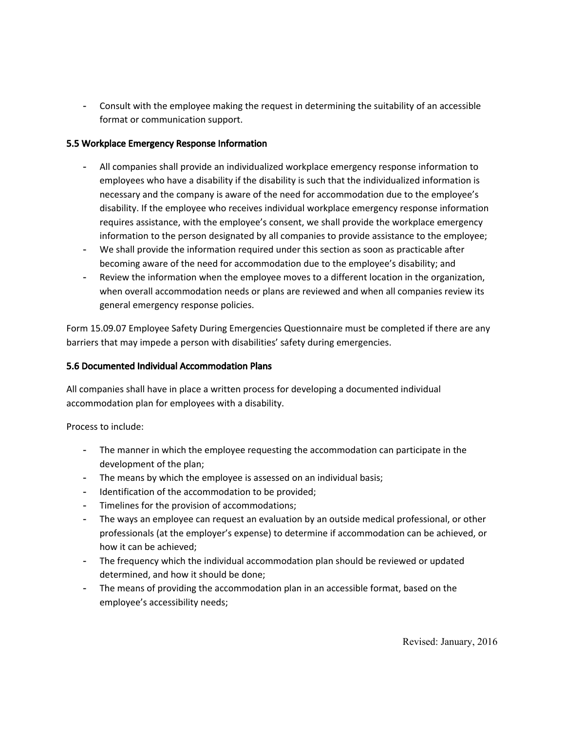- Consult with the employee making the request in determining the suitability of an accessible format or communication support.

# 5.5 Workplace Emergency Response Information

- All companies shall provide an individualized workplace emergency response information to employees who have a disability if the disability is such that the individualized information is necessary and the company is aware of the need for accommodation due to the employee's disability. If the employee who receives individual workplace emergency response information requires assistance, with the employee's consent, we shall provide the workplace emergency information to the person designated by all companies to provide assistance to the employee;
- We shall provide the information required under this section as soon as practicable after becoming aware of the need for accommodation due to the employee's disability; and
- Review the information when the employee moves to a different location in the organization, when overall accommodation needs or plans are reviewed and when all companies review its general emergency response policies.

Form 15.09.07 Employee Safety During Emergencies Questionnaire must be completed if there are any barriers that may impede a person with disabilities' safety during emergencies.

### 5.6 Documented Individual Accommodation Plans

All companies shall have in place a written process for developing a documented individual accommodation plan for employees with a disability.

Process to include:

- The manner in which the employee requesting the accommodation can participate in the development of the plan;
- The means by which the employee is assessed on an individual basis;
- Identification of the accommodation to be provided;
- Timelines for the provision of accommodations;
- The ways an employee can request an evaluation by an outside medical professional, or other professionals (at the employer's expense) to determine if accommodation can be achieved, or how it can be achieved;
- The frequency which the individual accommodation plan should be reviewed or updated determined, and how it should be done;
- The means of providing the accommodation plan in an accessible format, based on the employee's accessibility needs;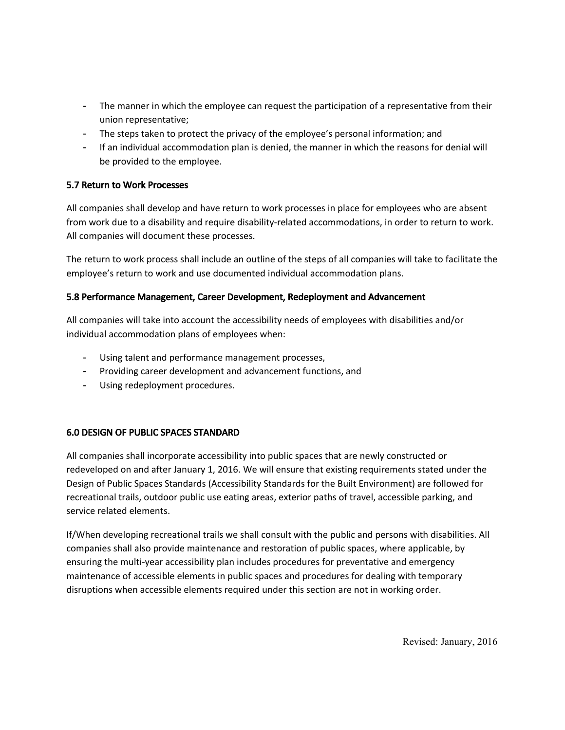- The manner in which the employee can request the participation of a representative from their union representative;
- The steps taken to protect the privacy of the employee's personal information; and
- If an individual accommodation plan is denied, the manner in which the reasons for denial will be provided to the employee.

## 5.7 Return to Work Processes

All companies shall develop and have return to work processes in place for employees who are absent from work due to a disability and require disability-related accommodations, in order to return to work. All companies will document these processes.

The return to work process shall include an outline of the steps of all companies will take to facilitate the employee's return to work and use documented individual accommodation plans.

## 5.8 Performance Management, Career Development, Redeployment and Advancement

All companies will take into account the accessibility needs of employees with disabilities and/or individual accommodation plans of employees when:

- Using talent and performance management processes,
- Providing career development and advancement functions, and
- Using redeployment procedures.

# 6.0 DESIGN OF PUBLIC SPACES STANDARD

All companies shall incorporate accessibility into public spaces that are newly constructed or redeveloped on and after January 1, 2016. We will ensure that existing requirements stated under the Design of Public Spaces Standards (Accessibility Standards for the Built Environment) are followed for recreational trails, outdoor public use eating areas, exterior paths of travel, accessible parking, and service related elements.

If/When developing recreational trails we shall consult with the public and persons with disabilities. All companies shall also provide maintenance and restoration of public spaces, where applicable, by ensuring the multi-year accessibility plan includes procedures for preventative and emergency maintenance of accessible elements in public spaces and procedures for dealing with temporary disruptions when accessible elements required under this section are not in working order.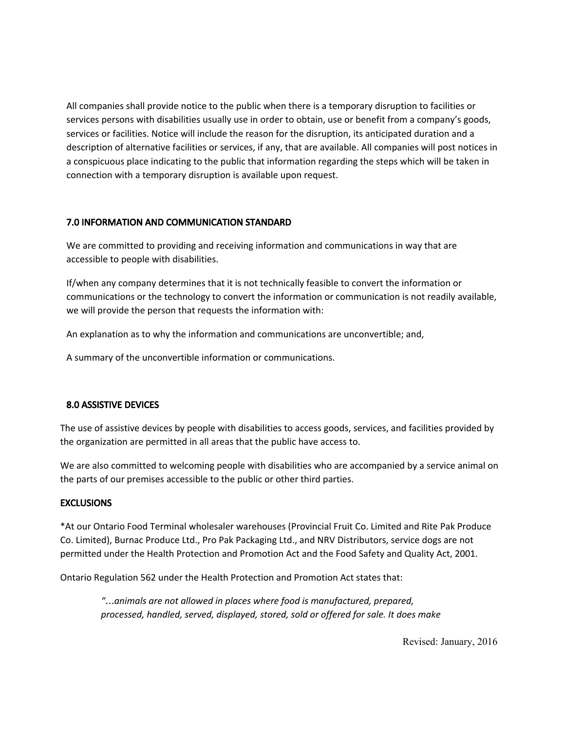All companies shall provide notice to the public when there is a temporary disruption to facilities or services persons with disabilities usually use in order to obtain, use or benefit from a company's goods, services or facilities. Notice will include the reason for the disruption, its anticipated duration and a description of alternative facilities or services, if any, that are available. All companies will post notices in a conspicuous place indicating to the public that information regarding the steps which will be taken in connection with a temporary disruption is available upon request.

# 7.0 INFORMATION AND COMMUNICATION STANDARD

We are committed to providing and receiving information and communications in way that are accessible to people with disabilities.

If/when any company determines that it is not technically feasible to convert the information or communications or the technology to convert the information or communication is not readily available, we will provide the person that requests the information with:

An explanation as to why the information and communications are unconvertible; and,

A summary of the unconvertible information or communications.

# 8.0 ASSISTIVE DEVICES

The use of assistive devices by people with disabilities to access goods, services, and facilities provided by the organization are permitted in all areas that the public have access to.

We are also committed to welcoming people with disabilities who are accompanied by a service animal on the parts of our premises accessible to the public or other third parties.

# **EXCLUSIONS**

\*At our Ontario Food Terminal wholesaler warehouses (Provincial Fruit Co. Limited and Rite Pak Produce Co. Limited), Burnac Produce Ltd., Pro Pak Packaging Ltd., and NRV Distributors, service dogs are not permitted under the Health Protection and Promotion Act and the Food Safety and Quality Act, 2001.

Ontario Regulation 562 under the Health Protection and Promotion Act states that:

*"*…*animals are not allowed in places where food is manufactured, prepared, processed, handled, served, displayed, stored, sold or offered for sale. It does make*